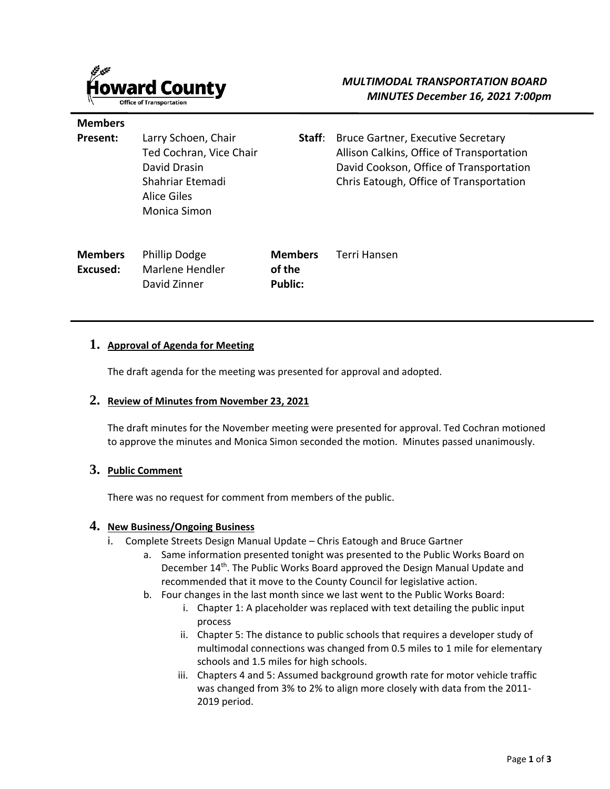

**Members** 

**Excused:**

| Present:       | Larry Schoen, Chair<br>Ted Cochran, Vice Chair<br>David Drasin<br>Shahriar Etemadi<br>Alice Giles<br>Monica Simon | Staff:         | <b>Bruce Gartner, Executive Secretary</b><br>Allison Calkins, Office of Transportation<br>David Cookson, Office of Transportation<br>Chris Eatough, Office of Transportation |
|----------------|-------------------------------------------------------------------------------------------------------------------|----------------|------------------------------------------------------------------------------------------------------------------------------------------------------------------------------|
| <b>Members</b> | <b>Phillip Dodge</b>                                                                                              | <b>Members</b> | Terri Hansen                                                                                                                                                                 |

#### **1. Approval of Agenda for Meeting**

Marlene Hendler David Zinner

The draft agenda for the meeting was presented for approval and adopted.

**of the Public:**

#### **2. Review of Minutes from November 23, 2021**

The draft minutes for the November meeting were presented for approval. Ted Cochran motioned to approve the minutes and Monica Simon seconded the motion. Minutes passed unanimously.

### **3. Public Comment**

There was no request for comment from members of the public.

## **4. New Business/Ongoing Business**

- i. Complete Streets Design Manual Update Chris Eatough and Bruce Gartner
	- a. Same information presented tonight was presented to the Public Works Board on December 14<sup>th</sup>. The Public Works Board approved the Design Manual Update and recommended that it move to the County Council for legislative action.
	- b. Four changes in the last month since we last went to the Public Works Board:
		- i. Chapter 1: A placeholder was replaced with text detailing the public input process
		- ii. Chapter 5: The distance to public schools that requires a developer study of multimodal connections was changed from 0.5 miles to 1 mile for elementary schools and 1.5 miles for high schools.
		- iii. Chapters 4 and 5: Assumed background growth rate for motor vehicle traffic was changed from 3% to 2% to align more closely with data from the 2011- 2019 period.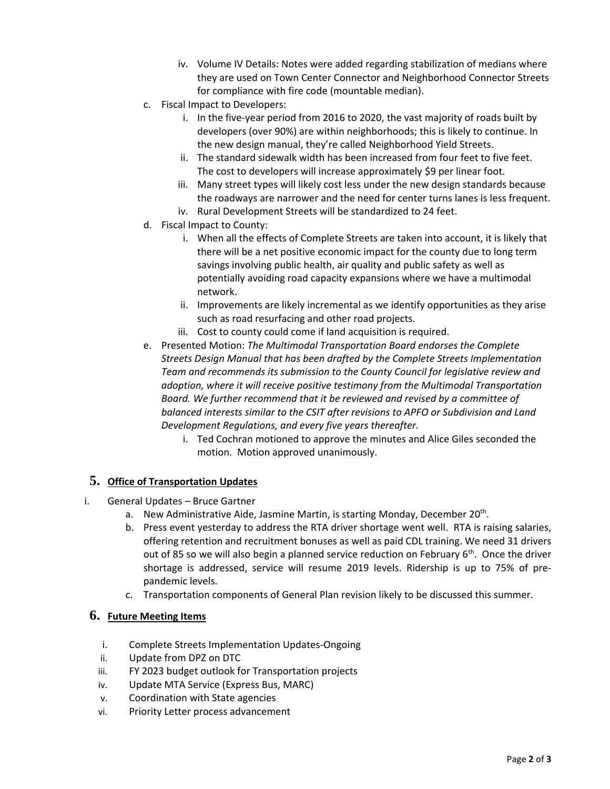- iv. Volume IV Details: Notes were added regarding stabilization of medians where they are used on Town Center Connector and Neighborhood Connector Streets for compliance with fire code (mountable median).
- c. Fiscal Impact to Developers:
	- i. In the five-year period from 2016 to 2020, the vast majority of roads built by developers (over 90%) are within neighborhoods; this is likely to continue. In the new design manual, they're called Neighborhood Yield Streets.
	- ii. The standard sidewalk width has been increased from four feet to five feet. The cost to developers will increase approximately \$9 per linear foot.
	- iii. Many street types will likely cost less under the new design standards because the roadways are narrower and the need for center turns lanes is less frequent.
	- iv. Rural Development Streets will be standardized to 24 feet.
- d. Fiscal Impact to County:
	- i. When all the effects of Complete Streets are taken into account, it is likely that there will be a net positive economic impact for the county due to long term savings involving public health, air quality and public safety as well as potentially avoiding road capacity expansions where we have a multimodal network.
	- ii. Improvements are likely incremental as we identify opportunities as they arise such as road resurfacing and other road projects.
	- iii. Cost to county could come if land acquisition is required.
- e. Presented Motion: *The Multimodal Transportation Board endorses the Complete Streets Design Manual that has been drafted by the Complete Streets Implementation Team and recommends its submission to the County Council for legislative review and adoption, where it will receive positive testimony from the Multimodal Transportation Board. We further recommend that it be reviewed and revised by a committee of balanced interests similar to the CSIT after revisions to APFO or Subdivision and Land Development Regulations, and every five years thereafter.*
	- i. Ted Cochran motioned to approve the minutes and Alice Giles seconded the motion. Motion approved unanimously.

## **5. Office of Transportation Updates**

- i. General Updates Bruce Gartner
	- a. New Administrative Aide, Jasmine Martin, is starting Monday, December 20<sup>th</sup>.
	- b. Press event yesterday to address the RTA driver shortage went well. RTA is raising salaries, offering retention and recruitment bonuses as well as paid CDL training. We need 31 drivers out of 85 so we will also begin a planned service reduction on February  $6<sup>th</sup>$ . Once the driver shortage is addressed, service will resume 2019 levels. Ridership is up to 75% of prepandemic levels.
	- c. Transportation components of General Plan revision likely to be discussed this summer.

## **6. Future Meeting Items**

- i. Complete Streets Implementation Updates-Ongoing
- ii. Update from DPZ on DTC
- iii. FY 2023 budget outlook for Transportation projects
- iv. Update MTA Service (Express Bus, MARC)
- v. Coordination with State agencies
- vi. Priority Letter process advancement